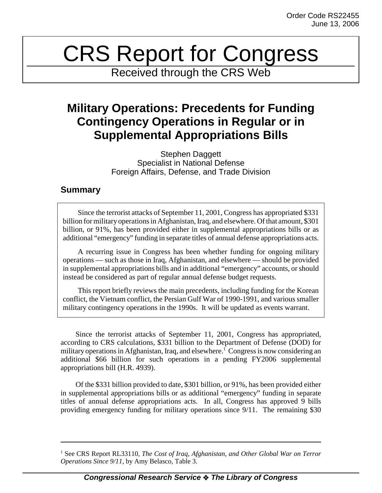# CRS Report for Congress

Received through the CRS Web

# **Military Operations: Precedents for Funding Contingency Operations in Regular or in Supplemental Appropriations Bills**

Stephen Daggett Specialist in National Defense Foreign Affairs, Defense, and Trade Division

# **Summary**

Since the terrorist attacks of September 11, 2001, Congress has appropriated \$331 billion for military operations in Afghanistan, Iraq, and elsewhere. Of that amount, \$301 billion, or 91%, has been provided either in supplemental appropriations bills or as additional "emergency" funding in separate titles of annual defense appropriations acts.

A recurring issue in Congress has been whether funding for ongoing military operations — such as those in Iraq, Afghanistan, and elsewhere — should be provided in supplemental appropriations bills and in additional "emergency" accounts, or should instead be considered as part of regular annual defense budget requests.

This report briefly reviews the main precedents, including funding for the Korean conflict, the Vietnam conflict, the Persian Gulf War of 1990-1991, and various smaller military contingency operations in the 1990s. It will be updated as events warrant.

Since the terrorist attacks of September 11, 2001, Congress has appropriated, according to CRS calculations, \$331 billion to the Department of Defense (DOD) for military operations in Afghanistan, Iraq, and elsewhere.<sup>1</sup> Congress is now considering an additional \$66 billion for such operations in a pending FY2006 supplemental appropriations bill (H.R. 4939).

Of the \$331 billion provided to date, \$301 billion, or 91%, has been provided either in supplemental appropriations bills or as additional "emergency" funding in separate titles of annual defense appropriations acts. In all, Congress has approved 9 bills providing emergency funding for military operations since 9/11. The remaining \$30

<sup>&</sup>lt;sup>1</sup> See CRS Report RL33110, *The Cost of Iraq, Afghanistan, and Other Global War on Terror Operations Since 9/11*, by Amy Belasco, Table 3.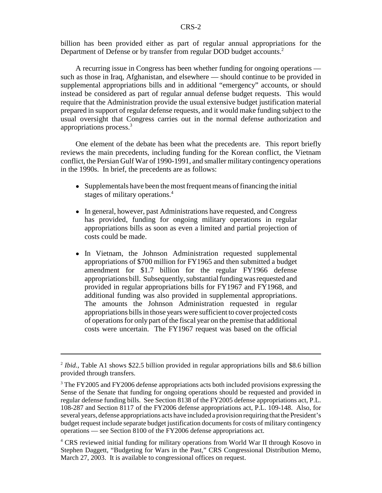billion has been provided either as part of regular annual appropriations for the Department of Defense or by transfer from regular DOD budget accounts.<sup>2</sup>

A recurring issue in Congress has been whether funding for ongoing operations such as those in Iraq, Afghanistan, and elsewhere — should continue to be provided in supplemental appropriations bills and in additional "emergency" accounts, or should instead be considered as part of regular annual defense budget requests. This would require that the Administration provide the usual extensive budget justification material prepared in support of regular defense requests, and it would make funding subject to the usual oversight that Congress carries out in the normal defense authorization and appropriations process.3

One element of the debate has been what the precedents are. This report briefly reviews the main precedents, including funding for the Korean conflict, the Vietnam conflict, the Persian Gulf War of 1990-1991, and smaller military contingency operations in the 1990s. In brief, the precedents are as follows:

- Supplementals have been the most frequent means of financing the initial stages of military operations.4
- In general, however, past Administrations have requested, and Congress has provided, funding for ongoing military operations in regular appropriations bills as soon as even a limited and partial projection of costs could be made.
- In Vietnam, the Johnson Administration requested supplemental appropriations of \$700 million for FY1965 and then submitted a budget amendment for \$1.7 billion for the regular FY1966 defense appropriations bill. Subsequently, substantial funding was requested and provided in regular appropriations bills for FY1967 and FY1968, and additional funding was also provided in supplemental appropriations. The amounts the Johnson Administration requested in regular appropriations bills in those years were sufficient to cover projected costs of operations for only part of the fiscal year on the premise that additional costs were uncertain. The FY1967 request was based on the official

<sup>&</sup>lt;sup>2</sup> *Ibid.*, Table A1 shows \$22.5 billion provided in regular appropriations bills and \$8.6 billion provided through transfers.

<sup>&</sup>lt;sup>3</sup> The FY2005 and FY2006 defense appropriations acts both included provisions expressing the Sense of the Senate that funding for ongoing operations should be requested and provided in regular defense funding bills. See Section 8138 of the FY2005 defense appropriations act, P.L. 108-287 and Section 8117 of the FY2006 defense appropriations act, P.L. 109-148. Also, for several years, defense appropriations acts have included a provision requiring that the President's budget request include separate budget justification documents for costs of military contingency operations — see Section 8100 of the FY2006 defense appropriations act.

<sup>4</sup> CRS reviewed initial funding for military operations from World War II through Kosovo in Stephen Daggett, "Budgeting for Wars in the Past," CRS Congressional Distribution Memo, March 27, 2003. It is available to congressional offices on request.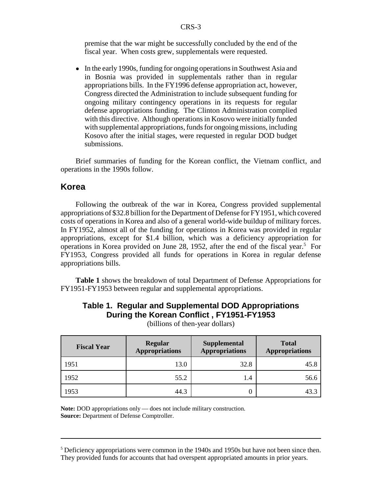premise that the war might be successfully concluded by the end of the fiscal year. When costs grew, supplementals were requested.

• In the early 1990s, funding for ongoing operations in Southwest Asia and in Bosnia was provided in supplementals rather than in regular appropriations bills. In the FY1996 defense appropriation act, however, Congress directed the Administration to include subsequent funding for ongoing military contingency operations in its requests for regular defense appropriations funding. The Clinton Administration complied with this directive. Although operations in Kosovo were initially funded with supplemental appropriations, funds for ongoing missions, including Kosovo after the initial stages, were requested in regular DOD budget submissions.

Brief summaries of funding for the Korean conflict, the Vietnam conflict, and operations in the 1990s follow.

# **Korea**

Following the outbreak of the war in Korea, Congress provided supplemental appropriations of \$32.8 billion for the Department of Defense for FY1951, which covered costs of operations in Korea and also of a general world-wide buildup of military forces. In FY1952, almost all of the funding for operations in Korea was provided in regular appropriations, except for \$1.4 billion, which was a deficiency appropriation for operations in Korea provided on June 28, 1952, after the end of the fiscal year.<sup>5</sup> For FY1953, Congress provided all funds for operations in Korea in regular defense appropriations bills.

**Table 1** shows the breakdown of total Department of Defense Appropriations for FY1951-FY1953 between regular and supplemental appropriations.

# **Table 1. Regular and Supplemental DOD Appropriations During the Korean Conflict , FY1951-FY1953**

| <b>Fiscal Year</b> | <b>Regular</b><br><b>Appropriations</b> | <b>Supplemental</b><br><b>Appropriations</b> | <b>Total</b><br><b>Appropriations</b> |
|--------------------|-----------------------------------------|----------------------------------------------|---------------------------------------|
| 1951               | 13.0                                    | 32.8                                         | 45.8                                  |
| 1952               | 55.2                                    | 1.4                                          | 56.6                                  |
| 1953               | 44.3                                    |                                              |                                       |

(billions of then-year dollars)

**Note:** DOD appropriations only — does not include military construction. **Source:** Department of Defense Comptroller.

 $<sup>5</sup>$  Deficiency appropriations were common in the 1940s and 1950s but have not been since then.</sup> They provided funds for accounts that had overspent appropriated amounts in prior years.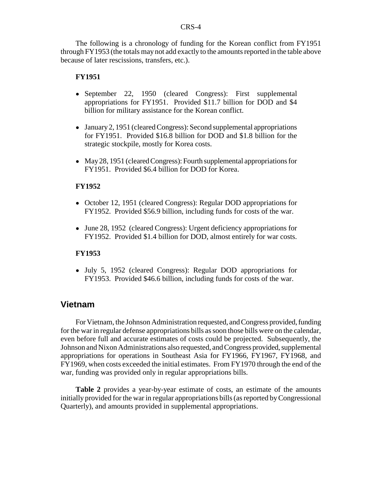The following is a chronology of funding for the Korean conflict from FY1951 through FY1953 (the totals may not add exactly to the amounts reported in the table above because of later rescissions, transfers, etc.).

#### **FY1951**

- September 22, 1950 (cleared Congress): First supplemental appropriations for FY1951. Provided \$11.7 billion for DOD and \$4 billion for military assistance for the Korean conflict.
- January 2, 1951 (cleared Congress): Second supplemental appropriations for FY1951. Provided \$16.8 billion for DOD and \$1.8 billion for the strategic stockpile, mostly for Korea costs.
- May 28, 1951 (cleared Congress): Fourth supplemental appropriations for FY1951. Provided \$6.4 billion for DOD for Korea.

#### **FY1952**

- October 12, 1951 (cleared Congress): Regular DOD appropriations for FY1952. Provided \$56.9 billion, including funds for costs of the war.
- June 28, 1952 (cleared Congress): Urgent deficiency appropriations for FY1952. Provided \$1.4 billion for DOD, almost entirely for war costs.

#### **FY1953**

! July 5, 1952 (cleared Congress): Regular DOD appropriations for FY1953. Provided \$46.6 billion, including funds for costs of the war.

## **Vietnam**

For Vietnam, the Johnson Administration requested, and Congress provided, funding for the war in regular defense appropriations bills as soon those bills were on the calendar, even before full and accurate estimates of costs could be projected. Subsequently, the Johnson and Nixon Administrations also requested, and Congress provided, supplemental appropriations for operations in Southeast Asia for FY1966, FY1967, FY1968, and FY1969, when costs exceeded the initial estimates. From FY1970 through the end of the war, funding was provided only in regular appropriations bills.

**Table 2** provides a year-by-year estimate of costs, an estimate of the amounts initially provided for the war in regular appropriations bills (as reported by Congressional Quarterly), and amounts provided in supplemental appropriations.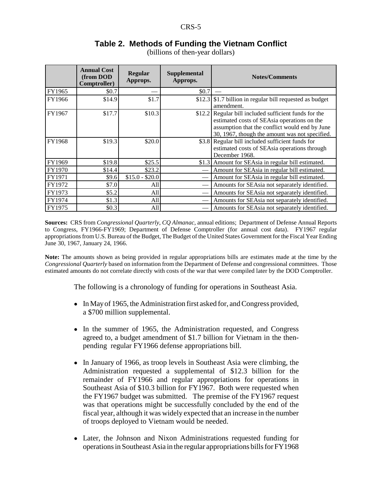# **Table 2. Methods of Funding the Vietnam Conflict**

(billions of then-year dollars)

|        | <b>Annual Cost</b><br>(from DOD<br>Comptroller) | <b>Regular</b><br>Approps. | <b>Supplemental</b><br>Approps. | <b>Notes/Comments</b>                                                                                                                                                                             |
|--------|-------------------------------------------------|----------------------------|---------------------------------|---------------------------------------------------------------------------------------------------------------------------------------------------------------------------------------------------|
| FY1965 | \$0.7                                           |                            | \$0.7                           |                                                                                                                                                                                                   |
| FY1966 | \$14.9                                          | \$1.7                      |                                 | \$12.3 \ \$1.7 billion in regular bill requested as budget<br>amendment.                                                                                                                          |
| FY1967 | \$17.7                                          | \$10.3                     | \$12.2                          | Regular bill included sufficient funds for the<br>estimated costs of SEAsia operations on the<br>assumption that the conflict would end by June<br>30, 1967, though the amount was not specified. |
| FY1968 | \$19.3                                          | \$20.0                     |                                 | \$3.8 Regular bill included sufficient funds for<br>estimated costs of SEAsia operations through<br>December 1968.                                                                                |
| FY1969 | \$19.8                                          | \$25.5                     | \$1.3                           | Amount for SEAsia in regular bill estimated.                                                                                                                                                      |
| FY1970 | \$14.4                                          | \$23.2                     |                                 | Amount for SEAsia in regular bill estimated.                                                                                                                                                      |
| FY1971 | \$9.6                                           | $$15.0 - $20.0$            |                                 | Amount for SEAsia in regular bill estimated.                                                                                                                                                      |
| FY1972 | \$7.0                                           | All                        |                                 | Amounts for SEAsia not separately identified.                                                                                                                                                     |
| FY1973 | \$5.2                                           | All                        |                                 | Amounts for SEAsia not separately identified.                                                                                                                                                     |
| FY1974 | \$1.3                                           | All                        |                                 | Amounts for SEAsia not separately identified.                                                                                                                                                     |
| FY1975 | \$0.3                                           | All                        |                                 | Amounts for SEAsia not separately identified.                                                                                                                                                     |

**Sources:** CRS from *Congressional Quarterly*, *CQ Almanac*, annual editions; Department of Defense Annual Reports to Congress, FY1966-FY1969; Department of Defense Comptroller (for annual cost data). FY1967 regular appropriations from U.S. Bureau of the Budget, The Budget of the United States Government for the Fiscal Year Ending June 30, 1967, January 24, 1966.

**Note:** The amounts shown as being provided in regular appropriations bills are estimates made at the time by the *Congressional Quarterly* based on information from the Department of Defense and congressional committees. Those estimated amounts do not correlate directly with costs of the war that were compiled later by the DOD Comptroller.

The following is a chronology of funding for operations in Southeast Asia.

- In May of 1965, the Administration first asked for, and Congress provided, a \$700 million supplemental.
- In the summer of 1965, the Administration requested, and Congress agreed to, a budget amendment of \$1.7 billion for Vietnam in the thenpending regular FY1966 defense appropriations bill.
- In January of 1966, as troop levels in Southeast Asia were climbing, the Administration requested a supplemental of \$12.3 billion for the remainder of FY1966 and regular appropriations for operations in Southeast Asia of \$10.3 billion for FY1967. Both were requested when the FY1967 budget was submitted. The premise of the FY1967 request was that operations might be successfully concluded by the end of the fiscal year, although it was widely expected that an increase in the number of troops deployed to Vietnam would be needed.
- Later, the Johnson and Nixon Administrations requested funding for operations in Southeast Asia in the regular appropriations bills for FY1968